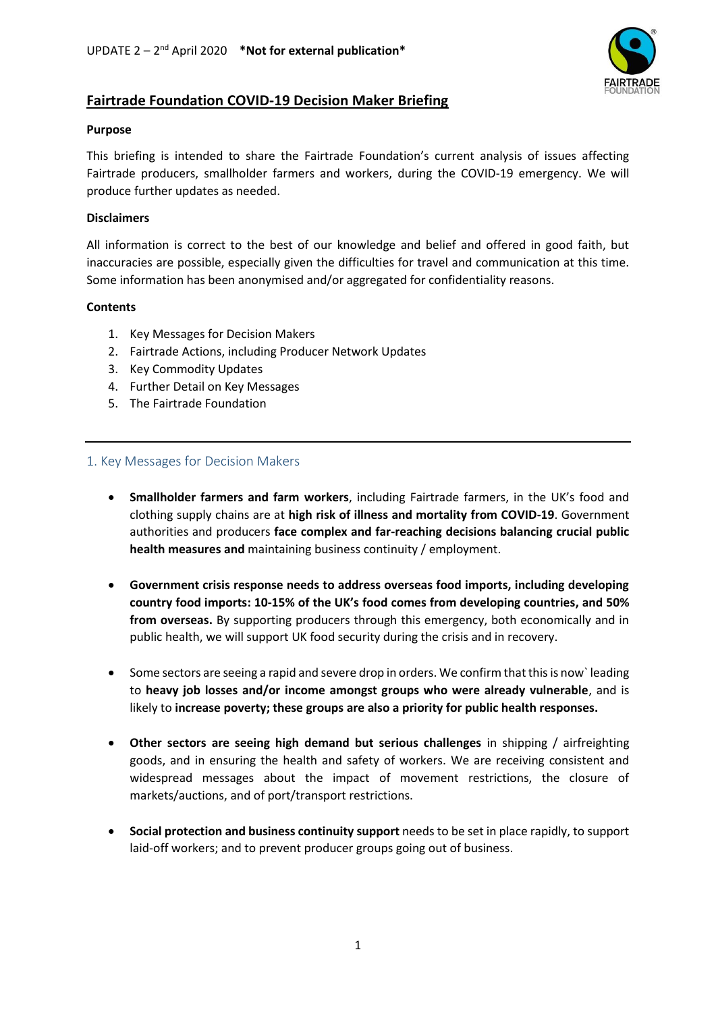

# **Fairtrade Foundation COVID-19 Decision Maker Briefing**

### **Purpose**

This briefing is intended to share the Fairtrade Foundation's current analysis of issues affecting Fairtrade producers, smallholder farmers and workers, during the COVID-19 emergency. We will produce further updates as needed.

### **Disclaimers**

All information is correct to the best of our knowledge and belief and offered in good faith, but inaccuracies are possible, especially given the difficulties for travel and communication at this time. Some information has been anonymised and/or aggregated for confidentiality reasons.

# **Contents**

- 1. Key Messages for Decision Makers
- 2. Fairtrade Actions, including Producer Network Updates
- 3. Key Commodity Updates
- 4. Further Detail on Key Messages
- 5. The Fairtrade Foundation

# 1. Key Messages for Decision Makers

- **Smallholder farmers and farm workers**, including Fairtrade farmers, in the UK's food and clothing supply chains are at **high risk of illness and mortality from COVID-19**. Government authorities and producers **face complex and far-reaching decisions balancing crucial public health measures and** maintaining business continuity / employment.
- **Government crisis response needs to address overseas food imports, including developing country food imports: 10-15% of the UK's food comes from developing countries, and 50% from overseas.** By supporting producers through this emergency, both economically and in public health, we will support UK food security during the crisis and in recovery.
- Some sectors are seeing a rapid and severe drop in orders. We confirm that this is now` leading to **heavy job losses and/or income amongst groups who were already vulnerable**, and is likely to **increase poverty; these groups are also a priority for public health responses.**
- **Other sectors are seeing high demand but serious challenges** in shipping / airfreighting goods, and in ensuring the health and safety of workers. We are receiving consistent and widespread messages about the impact of movement restrictions, the closure of markets/auctions, and of port/transport restrictions.
- **Social protection and business continuity support** needs to be set in place rapidly, to support laid-off workers; and to prevent producer groups going out of business.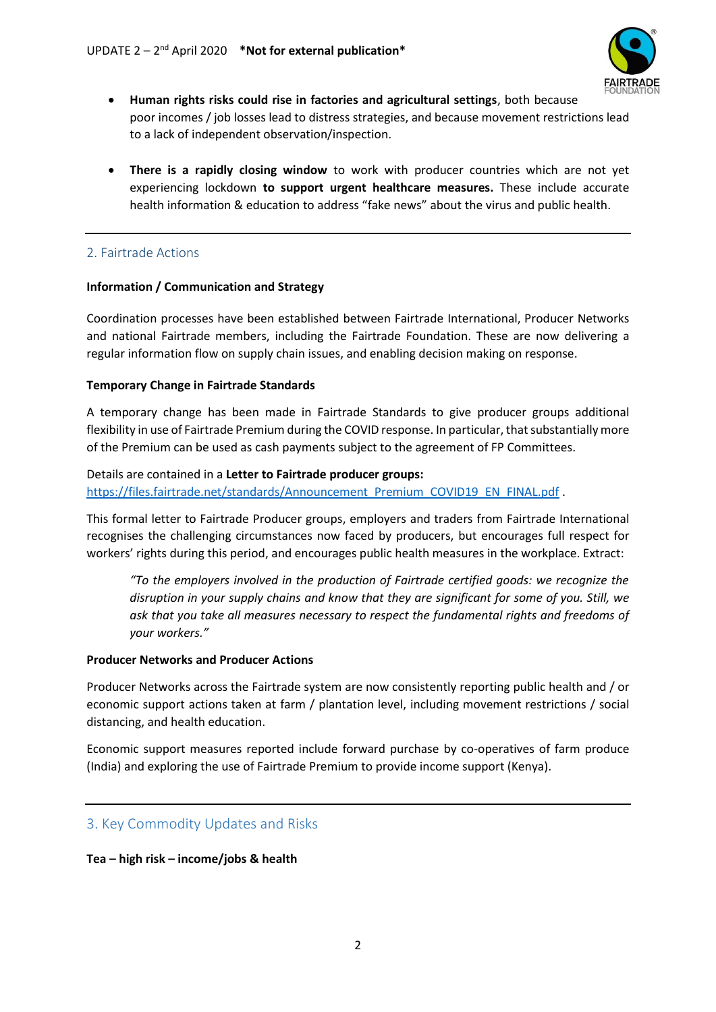

- **Human rights risks could rise in factories and agricultural settings**, both because poor incomes / job losses lead to distress strategies, and because movement restrictions lead to a lack of independent observation/inspection.
- **There is a rapidly closing window** to work with producer countries which are not yet experiencing lockdown **to support urgent healthcare measures.** These include accurate health information & education to address "fake news" about the virus and public health.

# 2. Fairtrade Actions

#### **Information / Communication and Strategy**

Coordination processes have been established between Fairtrade International, Producer Networks and national Fairtrade members, including the Fairtrade Foundation. These are now delivering a regular information flow on supply chain issues, and enabling decision making on response.

#### **Temporary Change in Fairtrade Standards**

A temporary change has been made in Fairtrade Standards to give producer groups additional flexibility in use of Fairtrade Premium during the COVID response. In particular, that substantially more of the Premium can be used as cash payments subject to the agreement of FP Committees.

#### Details are contained in a **Letter to Fairtrade producer groups:**

[https://files.fairtrade.net/standards/Announcement\\_Premium\\_COVID19\\_EN\\_FINAL.pdf](https://files.fairtrade.net/standards/Announcement_Premium_COVID19_EN_FINAL.pdf) .

This formal letter to Fairtrade Producer groups, employers and traders from Fairtrade International recognises the challenging circumstances now faced by producers, but encourages full respect for workers' rights during this period, and encourages public health measures in the workplace. Extract:

*"To the employers involved in the production of Fairtrade certified goods: we recognize the disruption in your supply chains and know that they are significant for some of you. Still, we ask that you take all measures necessary to respect the fundamental rights and freedoms of your workers."*

#### **Producer Networks and Producer Actions**

Producer Networks across the Fairtrade system are now consistently reporting public health and / or economic support actions taken at farm / plantation level, including movement restrictions / social distancing, and health education.

Economic support measures reported include forward purchase by co-operatives of farm produce (India) and exploring the use of Fairtrade Premium to provide income support (Kenya).

# 3. Key Commodity Updates and Risks

#### **Tea – high risk – income/jobs & health**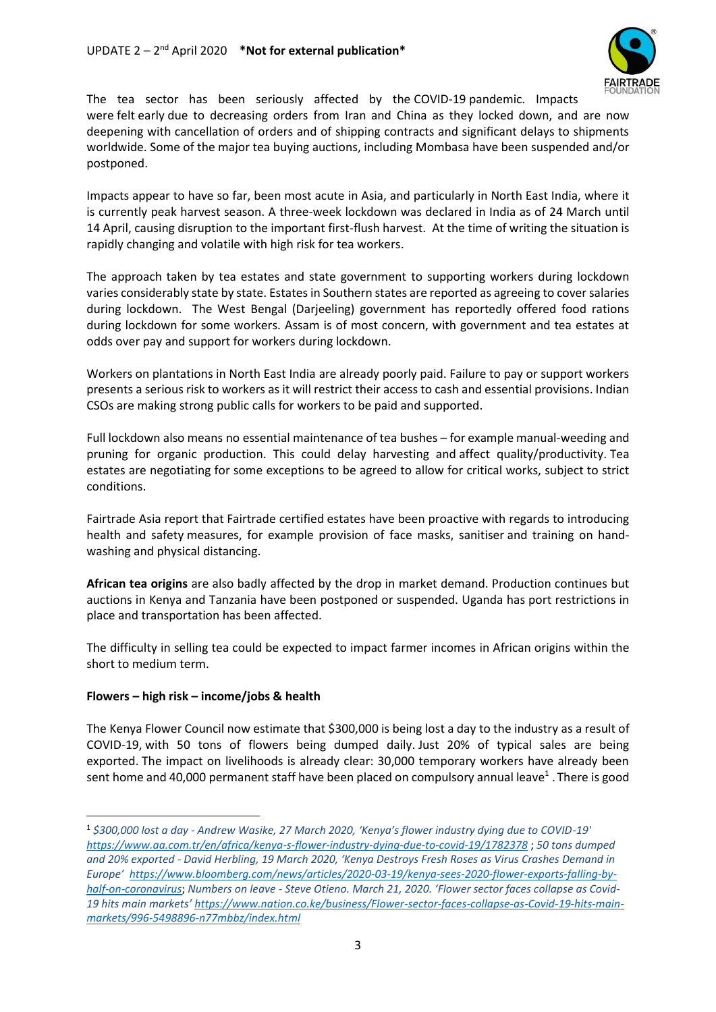

The tea sector has been seriously affected by the COVID-19 pandemic. Impacts were felt early due to decreasing orders from Iran and China as they locked down, and are now deepening with cancellation of orders and of shipping contracts and significant delays to shipments worldwide. Some of the major tea buying auctions, including Mombasa have been suspended and/or postponed.

Impacts appear to have so far, been most acute in Asia, and particularly in North East India, where it is currently peak harvest season. A three-week lockdown was declared in India as of 24 March until 14 April, causing disruption to the important first-flush harvest. At the time of writing the situation is rapidly changing and volatile with high risk for tea workers.

The approach taken by tea estates and state government to supporting workers during lockdown varies considerably state by state. Estates in Southern states are reported as agreeing to cover salaries during lockdown. The West Bengal (Darjeeling) government has reportedly offered food rations during lockdown for some workers. Assam is of most concern, with government and tea estates at odds over pay and support for workers during lockdown.

Workers on plantations in North East India are already poorly paid. Failure to pay or support workers presents a serious risk to workers as it will restrict their access to cash and essential provisions. Indian CSOs are making strong public calls for workers to be paid and supported.

Full lockdown also means no essential maintenance of tea bushes – for example manual-weeding and pruning for organic production. This could delay harvesting and affect quality/productivity. Tea estates are negotiating for some exceptions to be agreed to allow for critical works, subject to strict conditions.

Fairtrade Asia report that Fairtrade certified estates have been proactive with regards to introducing health and safety measures, for example provision of face masks, sanitiser and training on handwashing and physical distancing.

**African tea origins** are also badly affected by the drop in market demand. Production continues but auctions in Kenya and Tanzania have been postponed or suspended. Uganda has port restrictions in place and transportation has been affected.

The difficulty in selling tea could be expected to impact farmer incomes in African origins within the short to medium term.

# **Flowers – high risk – income/jobs & health**

 $\overline{a}$ 

The Kenya Flower Council now estimate that \$300,000 is being lost a day to the industry as a result of COVID-19, with 50 tons of flowers being dumped daily. Just 20% of typical sales are being exported. The impact on livelihoods is already clear: 30,000 temporary workers have already been sent home and 40,000 permanent staff have been placed on compulsory annual leave<sup>1</sup>. There is good

<sup>1</sup> *\$300,000 lost a day - Andrew Wasike, 27 March 2020, 'Kenya's flower industry dying due to COVID-19' <https://www.aa.com.tr/en/africa/kenya-s-flower-industry-dying-due-to-covid-19/1782378>* ; *50 tons dumped and 20% exported - David Herbling, 19 March 2020, 'Kenya Destroys Fresh Roses as Virus Crashes Demand in Europe'  [https://www.bloomberg.com/news/articles/2020-03-19/kenya-sees-2020-flower-exports-falling-by](https://www.bloomberg.com/news/articles/2020-03-19/kenya-sees-2020-flower-exports-falling-by-half-on-coronavirus)[half-on-coronavirus](https://www.bloomberg.com/news/articles/2020-03-19/kenya-sees-2020-flower-exports-falling-by-half-on-coronavirus)*; *Numbers on leave - Steve Otieno. March 21, 2020. 'Flower sector faces collapse as Covid-19 hits main markets' [https://www.nation.co.ke/business/Flower-sector-faces-collapse-as-Covid-19-hits-main](https://www.nation.co.ke/business/Flower-sector-faces-collapse-as-Covid-19-hits-main-markets/996-5498896-n77mbbz/index.html)[markets/996-5498896-n77mbbz/index.html](https://www.nation.co.ke/business/Flower-sector-faces-collapse-as-Covid-19-hits-main-markets/996-5498896-n77mbbz/index.html)*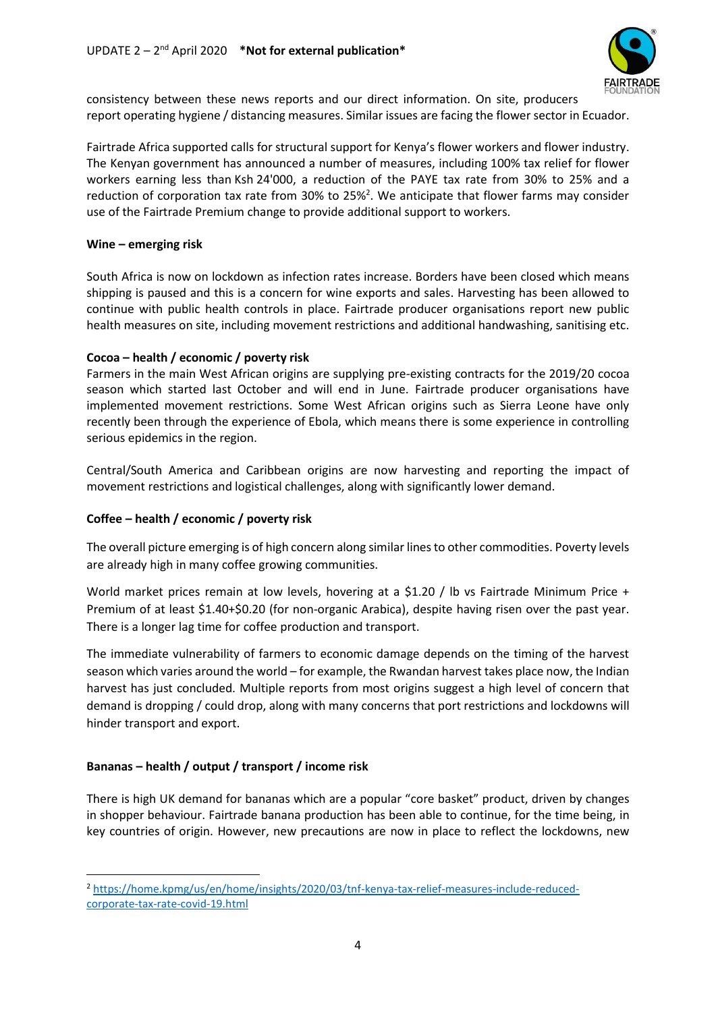

consistency between these news reports and our direct information. On site, producers report operating hygiene / distancing measures. Similar issues are facing the flower sector in Ecuador.

Fairtrade Africa supported calls for structural support for Kenya's flower workers and flower industry. The Kenyan government has announced a number of measures, including 100% tax relief for flower workers earning less than Ksh 24'000, a reduction of the PAYE tax rate from 30% to 25% and a reduction of corporation tax rate from 30% to 25%<sup>2</sup>. We anticipate that flower farms may consider use of the Fairtrade Premium change to provide additional support to workers.

### **Wine – emerging risk**

South Africa is now on lockdown as infection rates increase. Borders have been closed which means shipping is paused and this is a concern for wine exports and sales. Harvesting has been allowed to continue with public health controls in place. Fairtrade producer organisations report new public health measures on site, including movement restrictions and additional handwashing, sanitising etc.

#### **Cocoa – health / economic / poverty risk**

Farmers in the main West African origins are supplying pre-existing contracts for the 2019/20 cocoa season which started last October and will end in June. Fairtrade producer organisations have implemented movement restrictions. Some West African origins such as Sierra Leone have only recently been through the experience of Ebola, which means there is some experience in controlling serious epidemics in the region.

Central/South America and Caribbean origins are now harvesting and reporting the impact of movement restrictions and logistical challenges, along with significantly lower demand.

# **Coffee – health / economic / poverty risk**

The overall picture emerging is of high concern along similar lines to other commodities. Poverty levels are already high in many coffee growing communities.

World market prices remain at low levels, hovering at a \$1.20 / lb vs Fairtrade Minimum Price + Premium of at least \$1.40+\$0.20 (for non-organic Arabica), despite having risen over the past year. There is a longer lag time for coffee production and transport.

The immediate vulnerability of farmers to economic damage depends on the timing of the harvest season which varies around the world – for example, the Rwandan harvest takes place now, the Indian harvest has just concluded. Multiple reports from most origins suggest a high level of concern that demand is dropping / could drop, along with many concerns that port restrictions and lockdowns will hinder transport and export.

# **Bananas – health / output / transport / income risk**

**.** 

There is high UK demand for bananas which are a popular "core basket" product, driven by changes in shopper behaviour. Fairtrade banana production has been able to continue, for the time being, in key countries of origin. However, new precautions are now in place to reflect the lockdowns, new

<sup>2</sup> [https://home.kpmg/us/en/home/insights/2020/03/tnf-kenya-tax-relief-measures-include-reduced](https://home.kpmg/us/en/home/insights/2020/03/tnf-kenya-tax-relief-measures-include-reduced-corporate-tax-rate-covid-19.html)[corporate-tax-rate-covid-19.html](https://home.kpmg/us/en/home/insights/2020/03/tnf-kenya-tax-relief-measures-include-reduced-corporate-tax-rate-covid-19.html)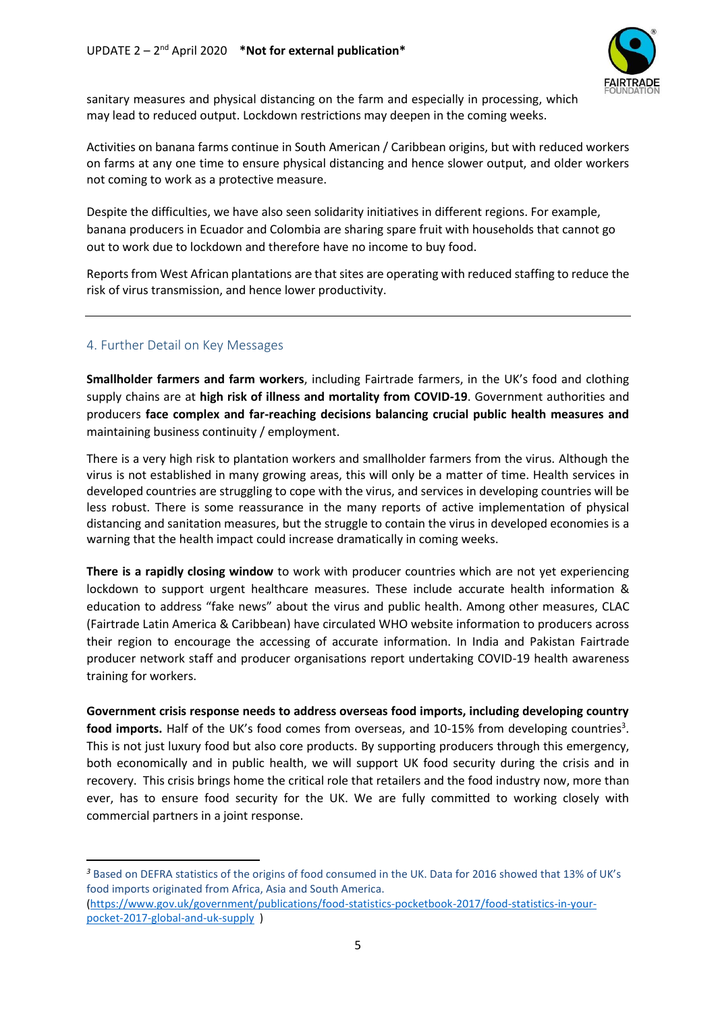

sanitary measures and physical distancing on the farm and especially in processing, which may lead to reduced output. Lockdown restrictions may deepen in the coming weeks.

Activities on banana farms continue in South American / Caribbean origins, but with reduced workers on farms at any one time to ensure physical distancing and hence slower output, and older workers not coming to work as a protective measure.

Despite the difficulties, we have also seen solidarity initiatives in different regions. For example, banana producers in Ecuador and Colombia are sharing spare fruit with households that cannot go out to work due to lockdown and therefore have no income to buy food.

Reports from West African plantations are that sites are operating with reduced staffing to reduce the risk of virus transmission, and hence lower productivity.

# 4. Further Detail on Key Messages

**.** 

**Smallholder farmers and farm workers**, including Fairtrade farmers, in the UK's food and clothing supply chains are at **high risk of illness and mortality from COVID-19**. Government authorities and producers **face complex and far-reaching decisions balancing crucial public health measures and**  maintaining business continuity / employment.

There is a very high risk to plantation workers and smallholder farmers from the virus. Although the virus is not established in many growing areas, this will only be a matter of time. Health services in developed countries are struggling to cope with the virus, and services in developing countries will be less robust. There is some reassurance in the many reports of active implementation of physical distancing and sanitation measures, but the struggle to contain the virus in developed economies is a warning that the health impact could increase dramatically in coming weeks.

**There is a rapidly closing window** to work with producer countries which are not yet experiencing lockdown to support urgent healthcare measures. These include accurate health information & education to address "fake news" about the virus and public health. Among other measures, CLAC (Fairtrade Latin America & Caribbean) have circulated WHO website information to producers across their region to encourage the accessing of accurate information. In India and Pakistan Fairtrade producer network staff and producer organisations report undertaking COVID-19 health awareness training for workers.

**Government crisis response needs to address overseas food imports, including developing country**  food imports. Half of the UK's food comes from overseas, and 10-15% from developing countries<sup>3</sup>. This is not just luxury food but also core products. By supporting producers through this emergency, both economically and in public health, we will support UK food security during the crisis and in recovery. This crisis brings home the critical role that retailers and the food industry now, more than ever, has to ensure food security for the UK. We are fully committed to working closely with commercial partners in a joint response.

*<sup>3</sup>* Based on DEFRA statistics of the origins of food consumed in the UK. Data for 2016 showed that 13% of UK's food imports originated from Africa, Asia and South America.

<sup>(</sup>https://www.gov.uk/government/publications/food-statistics-pocketbook-2017/food-statistics-in-yourpocket-2017-global-and-uk-supply )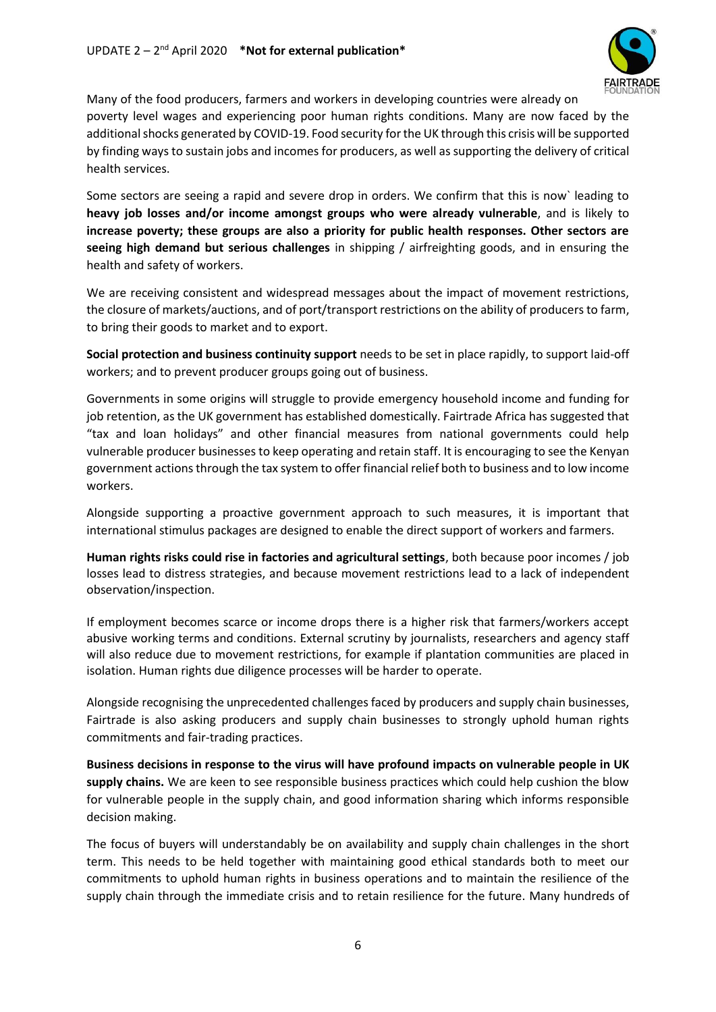

Many of the food producers, farmers and workers in developing countries were already on poverty level wages and experiencing poor human rights conditions. Many are now faced by the additional shocks generated by COVID-19. Food security for the UK through this crisis will be supported by finding ways to sustain jobs and incomes for producers, as well as supporting the delivery of critical health services.

Some sectors are seeing a rapid and severe drop in orders. We confirm that this is now` leading to **heavy job losses and/or income amongst groups who were already vulnerable**, and is likely to **increase poverty; these groups are also a priority for public health responses. Other sectors are seeing high demand but serious challenges** in shipping / airfreighting goods, and in ensuring the health and safety of workers.

We are receiving consistent and widespread messages about the impact of movement restrictions, the closure of markets/auctions, and of port/transport restrictions on the ability of producers to farm, to bring their goods to market and to export.

**Social protection and business continuity support** needs to be set in place rapidly, to support laid-off workers; and to prevent producer groups going out of business.

Governments in some origins will struggle to provide emergency household income and funding for job retention, as the UK government has established domestically. Fairtrade Africa has suggested that "tax and loan holidays" and other financial measures from national governments could help vulnerable producer businesses to keep operating and retain staff. It is encouraging to see the Kenyan government actions through the tax system to offer financial relief both to business and to low income workers.

Alongside supporting a proactive government approach to such measures, it is important that international stimulus packages are designed to enable the direct support of workers and farmers.

**Human rights risks could rise in factories and agricultural settings**, both because poor incomes / job losses lead to distress strategies, and because movement restrictions lead to a lack of independent observation/inspection.

If employment becomes scarce or income drops there is a higher risk that farmers/workers accept abusive working terms and conditions. External scrutiny by journalists, researchers and agency staff will also reduce due to movement restrictions, for example if plantation communities are placed in isolation. Human rights due diligence processes will be harder to operate.

Alongside recognising the unprecedented challenges faced by producers and supply chain businesses, Fairtrade is also asking producers and supply chain businesses to strongly uphold human rights commitments and fair-trading practices.

**Business decisions in response to the virus will have profound impacts on vulnerable people in UK supply chains.** We are keen to see responsible business practices which could help cushion the blow for vulnerable people in the supply chain, and good information sharing which informs responsible decision making.

The focus of buyers will understandably be on availability and supply chain challenges in the short term. This needs to be held together with maintaining good ethical standards both to meet our commitments to uphold human rights in business operations and to maintain the resilience of the supply chain through the immediate crisis and to retain resilience for the future. Many hundreds of